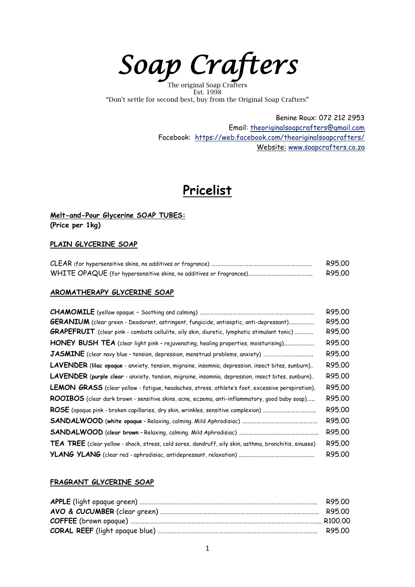*Soap Crafters* 

The original Soap Crafters Est. 1998 "Don't settle for second best, buy from the Original Soap Crafters"

> Benine Roux: 072 212 2953 Email: [theoriginalsoapcrafters@gmail.com](mailto:theoriginalsoapcrafters@gmail.com) Facebook: <https://web.facebook.com/theoriginalsoapcrafters/> Website: [www.soapcrafters.co.za](http://www.soapcrafters.co.za/)

# **Pricelist**

## **Melt-and-Pour Glycerine SOAP TUBES: (Price per 1kg)**

## **PLAIN GLYCERINE SOAP**

| R95.00 |
|--------|
| R95.00 |

### **AROMATHERAPY GLYCERINE SOAP**

|                                                                                                          | R95.00 |
|----------------------------------------------------------------------------------------------------------|--------|
| <b>GERANIUM</b> (clear green - Deodorant, astringent, fungicide, antiseptic, anti-depressant)            | R95.00 |
| <b>GRAPEFRUIT</b> (clear pink - combats cellulite, oily skin, diuretic, lymphatic stimulant tonic)       | R95.00 |
| HONEY BUSH TEA (clear light pink - rejuvenating, healing properties, moisturising)                       | R95.00 |
|                                                                                                          | R95.00 |
| LAVENDER (lilac opaque - anxiety, tension, migraine, insomnia, depression, insect bites, sunburn)        | R95.00 |
| <b>LAVENDER</b> (purple clear - anxiety, tension, migraine, insomnia, depression, insect bites, sunburn) | R95.00 |
| LEMON GRASS (clear yellow - fatigue, headaches, stress, athlete's foot, excessive perspiration).         | R95.00 |
| ROOIBOS (clear dark brown - sensitive skins, acne, eczema, anti-inflammatory, good baby soap)            | R95.00 |
|                                                                                                          | R95.00 |
|                                                                                                          | R95.00 |
|                                                                                                          | R95.00 |
| TEA TREE (clear yellow - shock, stress, cold sores, dandruff, oily skin, asthma, bronchitis, sinuses)    | R95.00 |
|                                                                                                          | R95.00 |

### **FRAGRANT GLYCERINE SOAP**

| R95.00 |
|--------|
|        |
|        |
|        |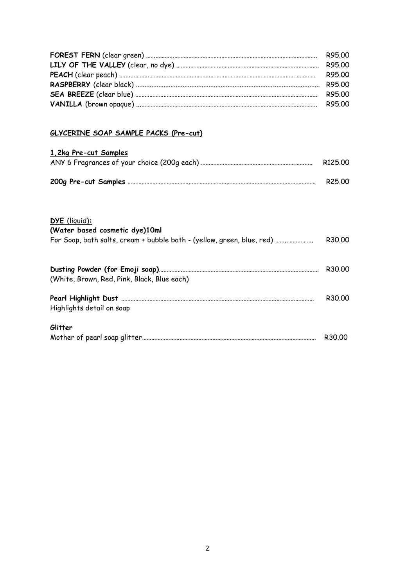| R95.00 |
|--------|
|        |
| R95 00 |
|        |
| R95.00 |
| R95.00 |

## **GLYCERINE SOAP SAMPLE PACKS (Pre-cut)**

| <u>1,2kg Pre-cut Samples</u>                                                                                              |         |
|---------------------------------------------------------------------------------------------------------------------------|---------|
|                                                                                                                           | R125.00 |
|                                                                                                                           | R25.00  |
| DYE (liquid):<br>(Water based cosmetic dye)10ml<br>For Soap, bath salts, cream + bubble bath - (yellow, green, blue, red) | R30.00  |
| (White, Brown, Red, Pink, Black, Blue each)                                                                               | R30.00  |
| Highlights detail on soap                                                                                                 | R30.00  |
| Glitter                                                                                                                   | R30.00  |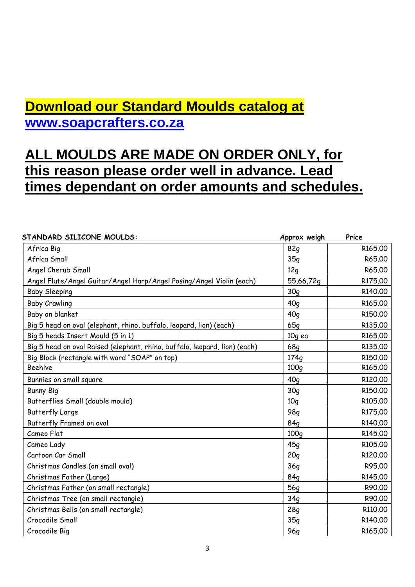# **Download our Standard Moulds catalog at [www.soapcrafters.co.za](http://www.soapcrafters.co.za/)**

# **ALL MOULDS ARE MADE ON ORDER ONLY, for this reason please order well in advance. Lead times dependant on order amounts and schedules.**

| STANDARD SILICONE MOULDS:                                                  | Approx weigh    | Price               |
|----------------------------------------------------------------------------|-----------------|---------------------|
| Africa Big                                                                 | <b>82g</b>      | R <sub>165.00</sub> |
| Africa Small                                                               | 35q             | R65.00              |
| Angel Cherub Small                                                         | 12q             | R65.00              |
| Angel Flute/Angel Guitar/Angel Harp/Angel Posing/Angel Violin (each)       | 55,66,72g       | R175.00             |
| <b>Baby Sleeping</b>                                                       | 30q             | R140.00             |
| <b>Baby Crawling</b>                                                       | 40q             | R165.00             |
| Baby on blanket                                                            | 40q             | R150.00             |
| Big 5 head on oval (elephant, rhino, buffalo, leopard, lion) (each)        | 65q             | R135.00             |
| Big 5 heads Insert Mould (5 in 1)                                          | 10g ea          | R165.00             |
| Big 5 head on oval Raised (elephant, rhino, buffalo, leopard, lion) (each) | <b>68q</b>      | R135.00             |
| Big Block (rectangle with word "SOAP" on top)                              | 174q            | R150.00             |
| <b>Beehive</b>                                                             | 100q            | R165.00             |
| Bunnies on small square                                                    | 40q             | R120.00             |
| <b>Bunny Big</b>                                                           | 30q             | R150.00             |
| Butterflies Small (double mould)                                           | 10q             | R105.00             |
| <b>Butterfly Large</b>                                                     | 98q             | R175.00             |
| Butterfly Framed on oval                                                   | 84 <sub>a</sub> | R140,00             |
| Cameo Flat                                                                 | 100q            | R145.00             |
| Cameo Lady                                                                 | 45g             | R105.00             |
| Cartoon Car Small                                                          | 20q             | R120.00             |
| Christmas Candles (on small oval)                                          | 36q             | R95.00              |
| Christmas Father (Large)                                                   | 84 <sub>q</sub> | R145.00             |
| Christmas Father (on small rectangle)                                      | 56 <sub>q</sub> | R90.00              |
| Christmas Tree (on small rectangle)                                        | 34q             | R90.00              |
| Christmas Bells (on small rectangle)                                       | 28q             | R110.00             |
| Crocodile Small                                                            | 35q             | R140.00             |
| Crocodile Big                                                              | <b>96g</b>      | R165.00             |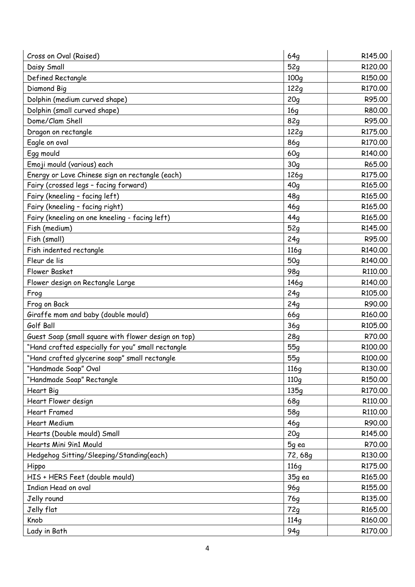| Cross on Oval (Raised)                              | 64q              | R145.00 |
|-----------------------------------------------------|------------------|---------|
| Daisy Small                                         | 52q              | R120.00 |
| Defined Rectangle                                   | 100q             | R150.00 |
| Diamond Big                                         | 122q             | R170.00 |
| Dolphin (medium curved shape)                       | 20q              | R95.00  |
| Dolphin (small curved shape)                        | 16q              | R80.00  |
| Dome/Clam Shell                                     | 82g              | R95.00  |
| Dragon on rectangle                                 | 122q             | R175.00 |
| Eagle on oval                                       | <b>86g</b>       | R170.00 |
| Egg mould                                           | 60q              | R140.00 |
| Emoji mould (various) each                          | 30q              | R65.00  |
| Energy or Love Chinese sign on rectangle (each)     | 126g             | R175.00 |
| Fairy (crossed legs - facing forward)               | 40q              | R165.00 |
| Fairy (kneeling - facing left)                      | 48q              | R165.00 |
| Fairy (kneeling - facing right)                     | 46q              | R165.00 |
| Fairy (kneeling on one kneeling - facing left)      | 44q              | R165.00 |
| Fish (medium)                                       | 52q              | R145.00 |
| Fish (small)                                        | 24q              | R95.00  |
| Fish indented rectangle                             | 116 <sub>g</sub> | R140.00 |
| Fleur de lis                                        | 50q              | R140.00 |
| <b>Flower Basket</b>                                | 98 <sub>q</sub>  | R110.00 |
| Flower design on Rectangle Large                    | 146 <sub>g</sub> | R140.00 |
| Frog                                                | 24q              | R105.00 |
| Frog on Back                                        | 24q              | R90.00  |
| Giraffe mom and baby (double mould)                 | <b>66q</b>       | R160.00 |
| Golf Ball                                           | 36q              | R105.00 |
| Guest Soap (small square with flower design on top) | 28q              | R70.00  |
| "Hand crafted especially for you" small rectangle   | 55 <sub>g</sub>  | R100.00 |
| "Hand crafted glycerine soap" small rectangle       | 55q              | R100.00 |
| "Handmade Soap" Oval                                | 116 <sub>g</sub> | R130.00 |
| "Handmade Soap" Rectangle                           | 110 <sub>a</sub> | R150.00 |
| Heart Big                                           | 135q             | R170.00 |
| Heart Flower design                                 | <b>68g</b>       | R110.00 |
| <b>Heart Framed</b>                                 | 58q              | R110.00 |
| <b>Heart Medium</b>                                 | 46q              | R90.00  |
| Hearts (Double mould) Small                         | 20q              | R145.00 |
| Hearts Mini 9in1 Mould                              | 5g ea            | R70.00  |
| Hedgehog Sitting/Sleeping/Standing(each)            | 72,68g           | R130.00 |
| Hippo                                               | 116 <sub>q</sub> | R175.00 |
| HIS + HERS Feet (double mould)                      | 35g ea           | R165.00 |
| Indian Head on oval                                 | <b>96g</b>       | R155.00 |
| Jelly round                                         | 76g              | R135.00 |
| Jelly flat                                          | 72q              | R165.00 |
| Knob                                                | 114q             | R160.00 |
| Lady in Bath                                        | 94g              | R170.00 |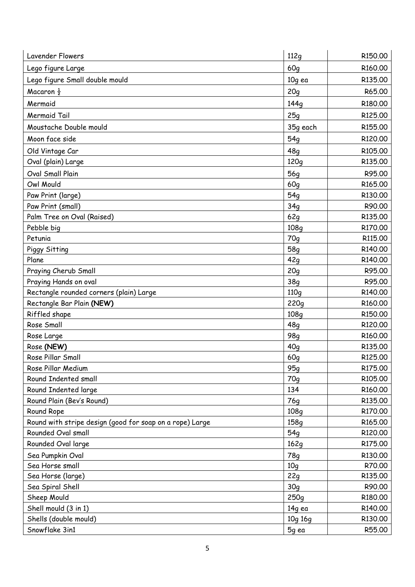| <b>Lavender Flowers</b>                                  | 112q             | R <sub>150.00</sub> |
|----------------------------------------------------------|------------------|---------------------|
| Lego figure Large                                        | 60q              | R160.00             |
| Lego figure Small double mould                           | 10g ea           | R135.00             |
| Macaron $\frac{1}{2}$                                    | 20q              | R65.00              |
| Mermaid                                                  | 144q             | R180.00             |
| Mermaid Tail                                             | 25q              | R125.00             |
| Moustache Double mould                                   | 35g each         | R155.00             |
| Moon face side                                           | 54q              | R120,00             |
| Old Vintage Car                                          | 48q              | R105.00             |
| Oval (plain) Large                                       | 120q             | R135.00             |
| <b>Oval Small Plain</b>                                  | <b>56g</b>       | R95.00              |
| Owl Mould                                                | 60q              | R165.00             |
| Paw Print (large)                                        | 54q              | R130.00             |
| Paw Print (small)                                        | 34q              | R90.00              |
| Palm Tree on Oval (Raised)                               | 62q              | R135.00             |
| Pebble big                                               | 108q             | R170.00             |
| Petunia                                                  | 70g              | R115.00             |
| Piggy Sitting                                            | 58 <sub>g</sub>  | R140.00             |
| Plane                                                    | 42q              | R140.00             |
| Praying Cherub Small                                     | 20q              | R95.00              |
| Praying Hands on oval                                    | 38q              | R95.00              |
| Rectangle rounded corners (plain) Large                  | 110q             | R140.00             |
| Rectangle Bar Plain (NEW)                                | 220q             | R160.00             |
| Riffled shape                                            | 108q             | R150.00             |
| Rose Small                                               | 48q              | R120.00             |
| Rose Large                                               | 98g              | R160.00             |
| Rose (NEW)                                               | 40q              | R135.00             |
| Rose Pillar Small                                        | 60q              | R125.00             |
| Rose Pillar Medium                                       | 95q              | R175.00             |
| Round Indented small                                     | 70q              | R105.00             |
| Round Indented large                                     | 134              | R160.00             |
| Round Plain (Bev's Round)                                | 76g              | R135.00             |
| Round Rope                                               | 108q             | R170.00             |
| Round with stripe design (good for soap on a rope) Large | 158 <sub>g</sub> | R165.00             |
| Rounded Oval small                                       | 54q              | R120.00             |
| Rounded Oval large                                       | 162g             | R175.00             |
| Sea Pumpkin Oval                                         | 78q              | R130.00             |
| Sea Horse small                                          | 10q              | R70.00              |
| Sea Horse (large)                                        | 22g              | R135.00             |
| Sea Spiral Shell                                         | 30q              | R90.00              |
| Sheep Mould                                              | 250q             | R180.00             |
| Shell mould (3 in 1)                                     | 14g ea           | R140.00<br>R130.00  |
| Shells (double mould)<br>Snowflake 3in1                  | 10g 16g<br>5g ea | R55.00              |
|                                                          |                  |                     |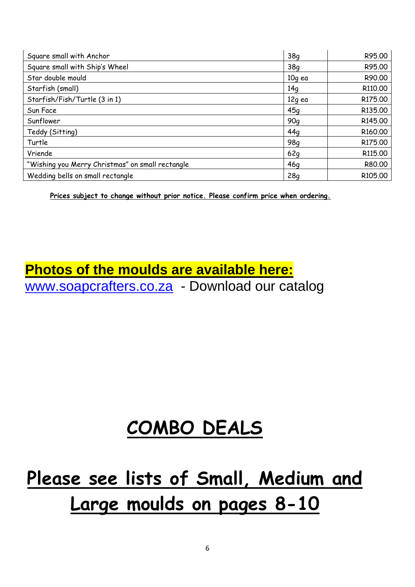| Square small with Anchor                         | 38q             | R95.00              |
|--------------------------------------------------|-----------------|---------------------|
| Square small with Ship's Wheel                   | 38q             | R95.00              |
| Star double mould                                | 10g ea          | R90.00              |
| Starfish (small)                                 | 14q             | R110.00             |
| Starfish/Fish/Turtle (3 in 1)                    | 12g ea          | R175.00             |
| Sun Face                                         | 45q             | R135.00             |
| Sunflower                                        | 90q             | R145.00             |
| Teddy (Sitting)                                  | 44q             | R160.00             |
| Turtle                                           | 98 <sub>q</sub> | R175.00             |
| Vriende                                          | 62g             | R115,00             |
| "Wishing you Merry Christmas" on small rectangle | 46q             | R80.00              |
| Wedding bells on small rectangle                 | 28q             | R <sub>105.00</sub> |

**Prices subject to change without prior notice. Please confirm price when ordering.**

# **Photos of the moulds are available here:** [www.soapcrafters.co.za](http://www.soapcrafters.co.za/) - Download our catalog

# **COMBO DEALS**

# **Please see lists of Small, Medium and Large moulds on pages 8-10**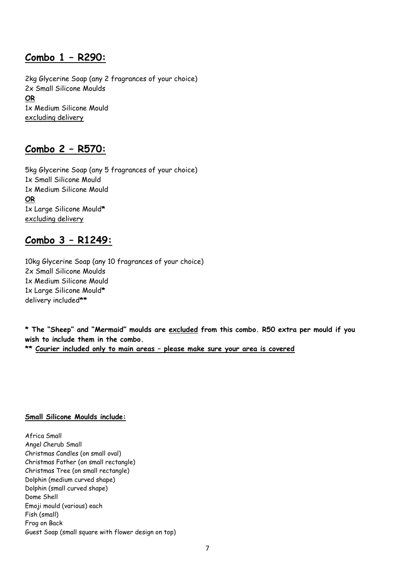# **Combo 1 – R290:**

2kg Glycerine Soap (any 2 fragrances of your choice) 2x Small Silicone Moulds **OR** 1x Medium Silicone Mould excluding delivery

# **Combo 2 – R570:**

5kg Glycerine Soap (any 5 fragrances of your choice) 1x Small Silicone Mould 1x Medium Silicone Mould **OR** 1x Large Silicone Mould**\*** excluding delivery

# **Combo 3 – R1249:**

10kg Glycerine Soap (any 10 fragrances of your choice) 2x Small Silicone Moulds 1x Medium Silicone Mould 1x Large Silicone Mould**\*** delivery included**\*\***

**\* The "Sheep" and "Mermaid" moulds are excluded from this combo. R50 extra per mould if you wish to include them in the combo.**

**\*\* Courier included only to main areas – please make sure your area is covered**

### **Small Silicone Moulds include:**

Africa Small Angel Cherub Small Christmas Candles (on small oval) Christmas Father (on small rectangle) Christmas Tree (on small rectangle) Dolphin (medium curved shape) Dolphin (small curved shape) Dome Shell Emoji mould (various) each Fish (small) Frog on Back Guest Soap (small square with flower design on top)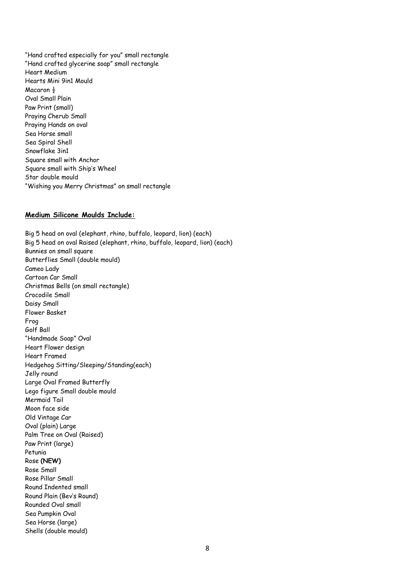"Hand crafted especially for you" small rectangle "Hand crafted glycerine soap" small rectangle Heart Medium Hearts Mini 9in1 Mould Macaron  $\frac{1}{2}$ Oval Small Plain Paw Print (small) Praying Cherub Small Praying Hands on oval Sea Horse small Sea Spiral Shell Snowflake 3in1 Square small with Anchor Square small with Ship's Wheel Star double mould "Wishing you Merry Christmas" on small rectangle

#### **Medium Silicone Moulds Include:**

Big 5 head on oval (elephant, rhino, buffalo, leopard, lion) (each) Big 5 head on oval Raised (elephant, rhino, buffalo, leopard, lion) (each) Bunnies on small square Butterflies Small (double mould) Cameo Lady Cartoon Car Small Christmas Bells (on small rectangle) Crocodile Small Daisy Small Flower Basket Frog Golf Ball "Handmade Soap" Oval Heart Flower design Heart Framed Hedgehog Sitting/Sleeping/Standing(each) Jelly round Large Oval Framed Butterfly Lego figure Small double mould Mermaid Tail Moon face side Old Vintage Car Oval (plain) Large Palm Tree on Oval (Raised) Paw Print (large) Petunia Rose **(NEW)** Rose Small Rose Pillar Small Round Indented small Round Plain (Bev's Round) Rounded Oval small Sea Pumpkin Oval Sea Horse (large) Shells (double mould)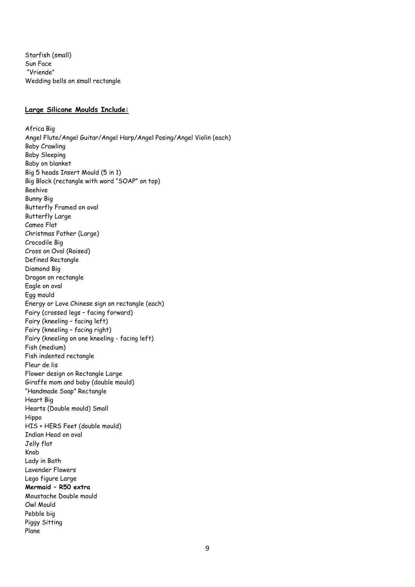Starfish (small) Sun Face "Vriende" Wedding bells on small rectangle

#### **Large Silicone Moulds Include:**

Africa Big Angel Flute/Angel Guitar/Angel Harp/Angel Posing/Angel Violin (each) Baby Crawling Baby Sleeping Baby on blanket Big 5 heads Insert Mould (5 in 1) Big Block (rectangle with word "SOAP" on top) Beehive Bunny Big Butterfly Framed on oval Butterfly Large Cameo Flat Christmas Father (Large) Crocodile Big Cross on Oval (Raised) Defined Rectangle Diamond Big Dragon on rectangle Eagle on oval Egg mould Energy or Love Chinese sign on rectangle (each) Fairy (crossed legs – facing forward) Fairy (kneeling – facing left) Fairy (kneeling – facing right) Fairy (kneeling on one kneeling - facing left) Fish (medium) Fish indented rectangle Fleur de lis Flower design on Rectangle Large Giraffe mom and baby (double mould) "Handmade Soap" Rectangle Heart Big Hearts (Double mould) Small Hippo HIS + HERS Feet (double mould) Indian Head on oval Jelly flat Knob Lady in Bath Lavender Flowers Lego figure Large **Mermaid – R50 extra** Moustache Double mould Owl Mould Pebble big Piggy Sitting Plane